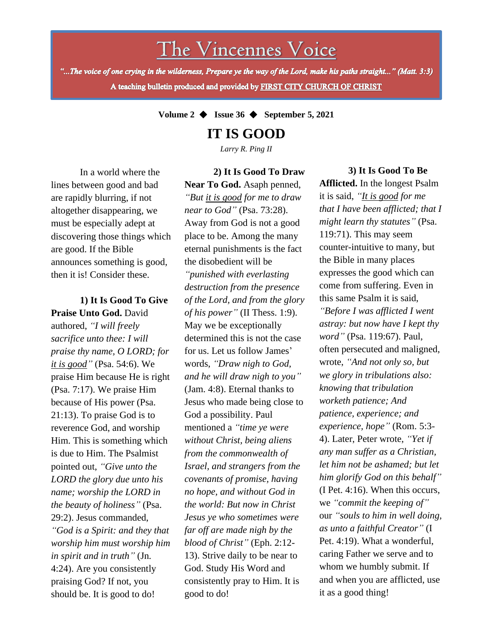The Vincennes Voice

"...The voice of one crying in the wilderness, Prepare ye the way of the Lord, make his paths straight..." (Matt. 3:3) A teaching bulletin produced and provided by FIRST CITY CHURCH OF CHRIST

**Volume 2** ◆ **Issue 36** ◆ **September 5, 2021**

**IT IS GOOD**

*Larry R. Ping II*

**2) It Is Good To Draw** 

In a world where the lines between good and bad are rapidly blurring, if not altogether disappearing, we must be especially adept at discovering those things which are good. If the Bible announces something is good, then it is! Consider these.

*in spirit and in truth"* (Jn. **1) It Is Good To Give Praise Unto God.** David authored, *"I will freely sacrifice unto thee: I will praise thy name, O LORD; for it is good"* (Psa. 54:6). We praise Him because He is right (Psa. 7:17). We praise Him because of His power (Psa. 21:13). To praise God is to reverence God, and worship Him. This is something which is due to Him. The Psalmist pointed out, *"Give unto the LORD the glory due unto his name; worship the LORD in the beauty of holiness"* (Psa. 29:2). Jesus commanded, *"God is a Spirit: and they that worship him must worship him* 4:24). Are you consistently praising God? If not, you should be. It is good to do!

**Near To God.** Asaph penned, *"But it is good for me to draw near to God"* (Psa. 73:28). Away from God is not a good place to be. Among the many eternal punishments is the fact the disobedient will be *"punished with everlasting destruction from the presence of the Lord, and from the glory of his power"* (II Thess. 1:9). May we be exceptionally determined this is not the case for us. Let us follow James' words, *"Draw nigh to God, and he will draw nigh to you"* (Jam. 4:8). Eternal thanks to Jesus who made being close to God a possibility. Paul mentioned a *"time ye were without Christ, being aliens from the commonwealth of Israel, and strangers from the covenants of promise, having no hope, and without God in the world: But now in Christ Jesus ye who sometimes were far off are made nigh by the blood of Christ"* (Eph. 2:12- 13). Strive daily to be near to God. Study His Word and consistently pray to Him. It is good to do!

#### **3) It Is Good To Be**

**Afflicted.** In the longest Psalm it is said, *"It is good for me that I have been afflicted; that I might learn thy statutes"* (Psa. 119:71). This may seem counter-intuitive to many, but the Bible in many places expresses the good which can come from suffering. Even in this same Psalm it is said, *"Before I was afflicted I went astray: but now have I kept thy word"* (Psa. 119:67). Paul, often persecuted and maligned, wrote, *"And not only so, but we glory in tribulations also: knowing that tribulation worketh patience; And patience, experience; and experience, hope"* (Rom. 5:3- 4). Later, Peter wrote, *"Yet if any man suffer as a Christian, let him not be ashamed; but let him glorify God on this behalf"* (I Pet. 4:16). When this occurs, we *"commit the keeping of"* our *"souls to him in well doing, as unto a faithful Creator"* (I Pet. 4:19). What a wonderful, caring Father we serve and to whom we humbly submit. If and when you are afflicted, use it as a good thing!